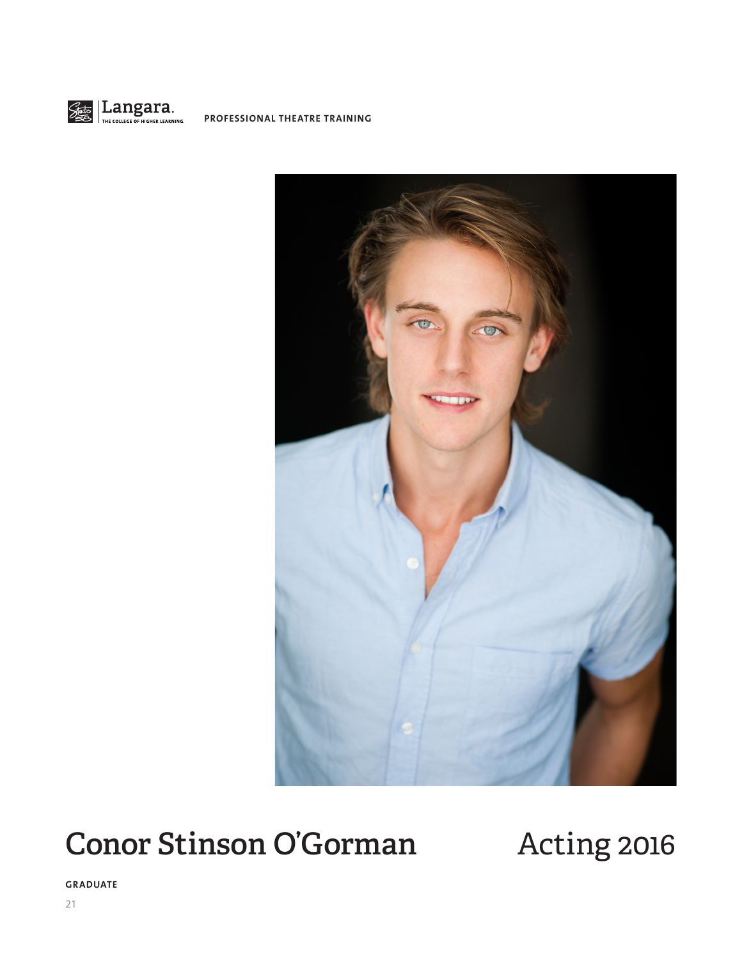

**PROFESSIONAL THEATRE TRAINING**



# Conor Stinson O'Gorman Acting 2016

**GRADUATE**